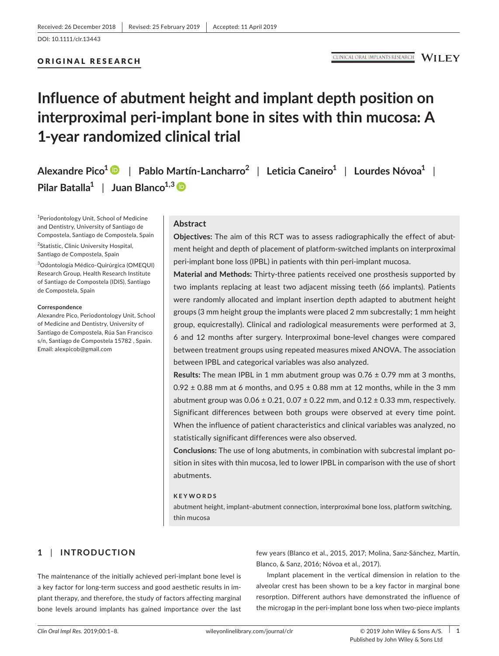# ORIGINAL RESEARCH

# **Influence of abutment height and implant depth position on interproximal peri‐implant bone in sites with thin mucosa: A 1‐year randomized clinical trial**

**Alexandre Pico[1](https://orcid.org/0000-0003-2292-3116)** | **Pablo Martín‐Lancharro<sup>2</sup>** | **Leticia Caneiro<sup>1</sup>** | **Lourdes Nóvoa<sup>1</sup>** | **Pilar Batalla<sup>1</sup>** | **Juan Blanco1,3**

<sup>1</sup>Periodontology Unit, School of Medicine and Dentistry, University of Santiago de Compostela, Santiago de Compostela, Spain

<sup>2</sup>Statistic, Clinic University Hospital, Santiago de Compostela, Spain

3 Odontología Médico‐Quirúrgica (OMEQUI) Research Group, Health Research Institute of Santiago de Compostela (IDIS), Santiago de Compostela, Spain

#### **Correspondence**

Alexandre Pico, Periodontology Unit, School of Medicine and Dentistry, University of Santiago de Compostela, Rúa San Francisco s/n, Santiago de Compostela 15782 , Spain. Email: [alexpicob@gmail.com](mailto:alexpicob@gmail.com)

### **Abstract**

**Objectives:** The aim of this RCT was to assess radiographically the effect of abut‐ ment height and depth of placement of platform‐switched implants on interproximal peri-implant bone loss (IPBL) in patients with thin peri-implant mucosa.

**Material and Methods:** Thirty‐three patients received one prosthesis supported by two implants replacing at least two adjacent missing teeth (66 implants). Patients were randomly allocated and implant insertion depth adapted to abutment height groups (3 mm height group the implants were placed 2 mm subcrestally; 1 mm height group, equicrestally). Clinical and radiological measurements were performed at 3, 6 and 12 months after surgery. Interproximal bone‐level changes were compared between treatment groups using repeated measures mixed ANOVA. The association between IPBL and categorical variables was also analyzed.

**Results:** The mean IPBL in 1 mm abutment group was 0.76 ± 0.79 mm at 3 months,  $0.92 \pm 0.88$  mm at 6 months, and  $0.95 \pm 0.88$  mm at 12 months, while in the 3 mm abutment group was  $0.06 \pm 0.21$ ,  $0.07 \pm 0.22$  mm, and  $0.12 \pm 0.33$  mm, respectively. Significant differences between both groups were observed at every time point. When the influence of patient characteristics and clinical variables was analyzed, no statistically significant differences were also observed.

**Conclusions:** The use of long abutments, in combination with subcrestal implant po‐ sition in sites with thin mucosa, led to lower IPBL in comparison with the use of short abutments.

#### **KEYWORDS**

abutment height, implant–abutment connection, interproximal bone loss, platform switching, thin mucosa

# **1** | **INTRODUCTION**

The maintenance of the initially achieved peri‐implant bone level is a key factor for long‐term success and good aesthetic results in im‐ plant therapy, and therefore, the study of factors affecting marginal bone levels around implants has gained importance over the last few years (Blanco et al., 2015, 2017; Molina, Sanz‐Sánchez, Martín, Blanco, & Sanz, 2016; Nóvoa et al., 2017).

Implant placement in the vertical dimension in relation to the alveolar crest has been shown to be a key factor in marginal bone resorption. Different authors have demonstrated the influence of the microgap in the peri‐implant bone loss when two‐piece implants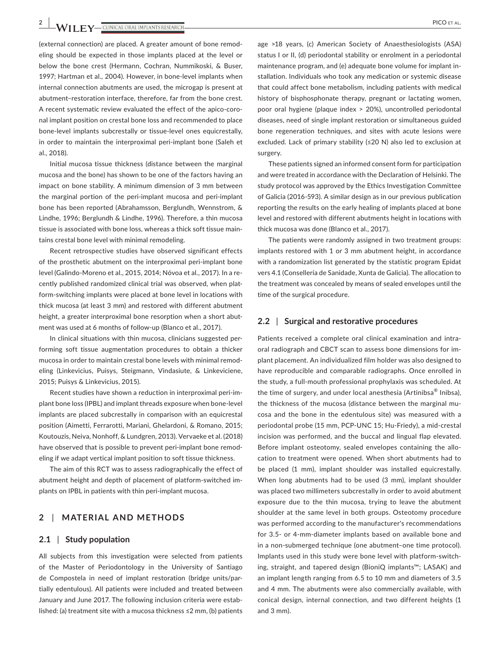$-$  **1 I**  $\bf{F}$   $\bf{V}$   $-$  clinical oral implants research  $-$ 

(external connection) are placed. A greater amount of bone remod‐ eling should be expected in those implants placed at the level or below the bone crest (Hermann, Cochran, Nummikoski, & Buser, 1997; Hartman et al., 2004). However, in bone‐level implants when internal connection abutments are used, the microgap is present at abutment–restoration interface, therefore, far from the bone crest. A recent systematic review evaluated the effect of the apico‐coro‐ nal implant position on crestal bone loss and recommended to place bone‐level implants subcrestally or tissue‐level ones equicrestally, in order to maintain the interproximal peri-implant bone (Saleh et al., 2018).

Initial mucosa tissue thickness (distance between the marginal mucosa and the bone) has shown to be one of the factors having an impact on bone stability. A minimum dimension of 3 mm between the marginal portion of the peri‐implant mucosa and peri‐implant bone has been reported (Abrahamsson, Berglundh, Wennstrom, & Lindhe, 1996; Berglundh & Lindhe, 1996). Therefore, a thin mucosa tissue is associated with bone loss, whereas a thick soft tissue main‐ tains crestal bone level with minimal remodeling.

Recent retrospective studies have observed significant effects of the prosthetic abutment on the interproximal peri‐implant bone level (Galindo‐Moreno et al., 2015, 2014; Nóvoa et al., 2017). In a re‐ cently published randomized clinical trial was observed, when platform‐switching implants were placed at bone level in locations with thick mucosa (at least 3 mm) and restored with different abutment height, a greater interproximal bone resorption when a short abutment was used at 6 months of follow-up (Blanco et al., 2017).

In clinical situations with thin mucosa, clinicians suggested performing soft tissue augmentation procedures to obtain a thicker mucosa in order to maintain crestal bone levels with minimal remod‐ eling (Linkevicius, Puisys, Steigmann, Vindasiute, & Linkeviciene, 2015; Puisys & Linkevicius, 2015).

Recent studies have shown a reduction in interproximal peri‐im‐ plant bone loss (IPBL) and implant threads exposure when bone‐level implants are placed subcrestally in comparison with an equicrestal position (Aimetti, Ferrarotti, Mariani, Ghelardoni, & Romano, 2015; Koutouzis, Neiva, Nonhoff, & Lundgren, 2013). Vervaeke et al. (2018) have observed that is possible to prevent peri-implant bone remodeling if we adapt vertical implant position to soft tissue thickness.

The aim of this RCT was to assess radiographically the effect of abutment height and depth of placement of platform‐switched im‐ plants on IPBL in patients with thin peri-implant mucosa.

## **2** | **MATERIAL AND METHODS**

#### **2.1** | **Study population**

All subjects from this investigation were selected from patients of the Master of Periodontology in the University of Santiago de Compostela in need of implant restoration (bridge units/par‐ tially edentulous). All patients were included and treated between January and June 2017. The following inclusion criteria were estab‐ lished: (a) treatment site with a mucosa thickness ≤2 mm, (b) patients

age >18 years, (c) American Society of Anaesthesiologists (ASA) status I or II, (d) periodontal stability or enrolment in a periodontal maintenance program, and (e) adequate bone volume for implant in‐ stallation. Individuals who took any medication or systemic disease that could affect bone metabolism, including patients with medical history of bisphosphonate therapy, pregnant or lactating women, poor oral hygiene (plaque index > 20%), uncontrolled periodontal diseases, need of single implant restoration or simultaneous guided bone regeneration techniques, and sites with acute lesions were excluded. Lack of primary stability (≤20 N) also led to exclusion at surgery.

These patients signed an informed consent form for participation and were treated in accordance with the Declaration of Helsinki. The study protocol was approved by the Ethics Investigation Committee of Galicia (2016‐593). A similar design as in our previous publication reporting the results on the early healing of implants placed at bone level and restored with different abutments height in locations with thick mucosa was done (Blanco et al., 2017).

The patients were randomly assigned in two treatment groups: implants restored with 1 or 3 mm abutment height, in accordance with a randomization list generated by the statistic program Epidat vers 4.1 (Consellería de Sanidade, Xunta de Galicia). The allocation to the treatment was concealed by means of sealed envelopes until the time of the surgical procedure.

## **2.2** | **Surgical and restorative procedures**

Patients received a complete oral clinical examination and intra‐ oral radiograph and CBCT scan to assess bone dimensions for im‐ plant placement. An individualized film holder was also designed to have reproducible and comparable radiographs. Once enrolled in the study, a full‐mouth professional prophylaxis was scheduled. At the time of surgery, and under local anesthesia (Artinibsa® Inibsa), the thickness of the mucosa (distance between the marginal mu‐ cosa and the bone in the edentulous site) was measured with a periodontal probe (15 mm, PCP‐UNC 15; Hu‐Friedy), a mid‐crestal incision was performed, and the buccal and lingual flap elevated. Before implant osteotomy, sealed envelopes containing the allocation to treatment were opened. When short abutments had to be placed (1 mm), implant shoulder was installed equicrestally. When long abutments had to be used (3 mm), implant shoulder was placed two millimeters subcrestally in order to avoid abutment exposure due to the thin mucosa, trying to leave the abutment shoulder at the same level in both groups. Osteotomy procedure was performed according to the manufacturer's recommendations for 3.5‐ or 4‐mm‐diameter implants based on available bone and in a non‐submerged technique (one abutment–one time protocol). Implants used in this study were bone level with platform‐switch‐ ing, straight, and tapered design (BioniQ implants™; LASAK) and an implant length ranging from 6.5 to 10 mm and diameters of 3.5 and 4 mm. The abutments were also commercially available, with conical design, internal connection, and two different heights (1 and 3 mm).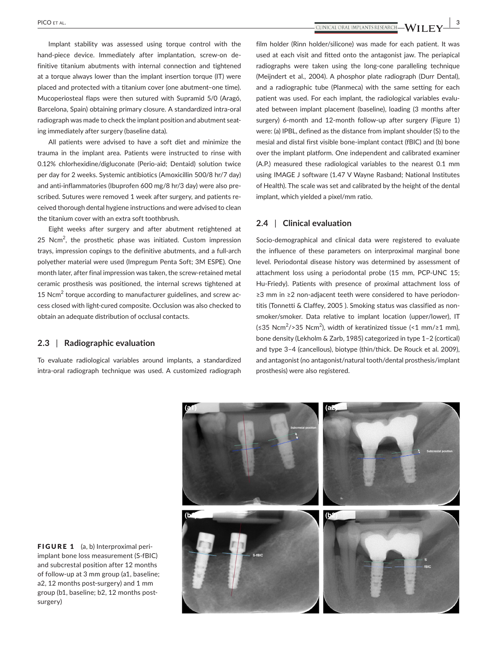**PICO** et al. **1997**  $\bullet$  **1997**  $\bullet$   $\bullet$   $\bullet$   $\bullet$   $\bullet$   $\bullet$   $\bullet$   $\bullet$   $\bullet$   $\bullet$   $\bullet$   $\bullet$   $\bullet$   $\bullet$   $\bullet$   $\bullet$   $\bullet$   $\bullet$   $\bullet$   $\bullet$   $\bullet$   $\bullet$   $\bullet$ 

Implant stability was assessed using torque control with the hand-piece device. Immediately after implantation, screw-on definitive titanium abutments with internal connection and tightened at a torque always lower than the implant insertion torque (IT) were placed and protected with a titanium cover (one abutment–one time). Mucoperiosteal flaps were then sutured with Supramid 5/0 (Aragó, Barcelona, Spain) obtaining primary closure. A standardized intra‐oral radiograph was made to check the implant position and abutment seating immediately after surgery (baseline data).

All patients were advised to have a soft diet and minimize the trauma in the implant area. Patients were instructed to rinse with 0.12% chlorhexidine/digluconate (Perio‐aid; Dentaid) solution twice per day for 2 weeks. Systemic antibiotics (Amoxicillin 500/8 hr/7 day) and anti-inflammatories (Ibuprofen 600 mg/8 hr/3 day) were also prescribed. Sutures were removed 1 week after surgery, and patients re‐ ceived thorough dental hygiene instructions and were advised to clean the titanium cover with an extra soft toothbrush.

Eight weeks after surgery and after abutment retightened at 25 N $cm<sup>2</sup>$ , the prosthetic phase was initiated. Custom impression trays, impression copings to the definitive abutments, and a full‐arch polyether material were used (Impregum Penta Soft; 3M ESPE). One month later, after final impression was taken, the screw‐retained metal ceramic prosthesis was positioned, the internal screws tightened at 15 Ncm<sup>2</sup> torque according to manufacturer guidelines, and screw access closed with light‐cured composite. Occlusion was also checked to obtain an adequate distribution of occlusal contacts.

## **2.3** | **Radiographic evaluation**

To evaluate radiological variables around implants, a standardized intra‐oral radiograph technique was used. A customized radiograph film holder (Rinn holder/silicone) was made for each patient. It was used at each visit and fitted onto the antagonist jaw. The periapical radiographs were taken using the long‐cone paralleling technique (Meijndert et al., 2004). A phosphor plate radiograph (Durr Dental), and a radiographic tube (Planmeca) with the same setting for each patient was used. For each implant, the radiological variables evaluated between implant placement (baseline), loading (3 months after surgery) 6-month and 12-month follow-up after surgery (Figure 1) were: (a) IPBL, defined as the distance from implant shoulder (S) to the mesial and distal first visible bone‐implant contact (fBIC) and (b) bone over the implant platform. One independent and calibrated examiner (A.P.) measured these radiological variables to the nearest 0.1 mm using IMAGE J software (1.47 V Wayne Rasband; National Institutes of Health). The scale was set and calibrated by the height of the dental implant, which yielded a pixel/mm ratio.

## **2.4** | **Clinical evaluation**

Socio-demographical and clinical data were registered to evaluate the influence of these parameters on interproximal marginal bone level. Periodontal disease history was determined by assessment of attachment loss using a periodontal probe (15 mm, PCP‐UNC 15; Hu-Friedy). Patients with presence of proximal attachment loss of ≥3 mm in ≥2 non‐adjacent teeth were considered to have periodon‐ titis (Tonnetti & Claffey, 2005 ). Smoking status was classified as non‐ smoker/smoker. Data relative to implant location (upper/lower), IT (≤35 Ncm<sup>2</sup> />35 Ncm<sup>2</sup> ), width of keratinized tissue (<1 mm/≥1 mm), bone density (Lekholm & Zarb, 1985) categorized in type 1–2 (cortical) and type 3–4 (cancellous), biotype (thin/thick. De Rouck et al. 2009), and antagonist (no antagonist/natural tooth/dental prosthesis/implant prosthesis) were also registered.



FIGURE 1 (a, b) Interproximal periimplant bone loss measurement (S‐fBIC) and subcrestal position after 12 months of follow‐up at 3 mm group (a1, baseline; a2, 12 months post-surgery) and 1 mm group (b1, baseline; b2, 12 months postsurgery)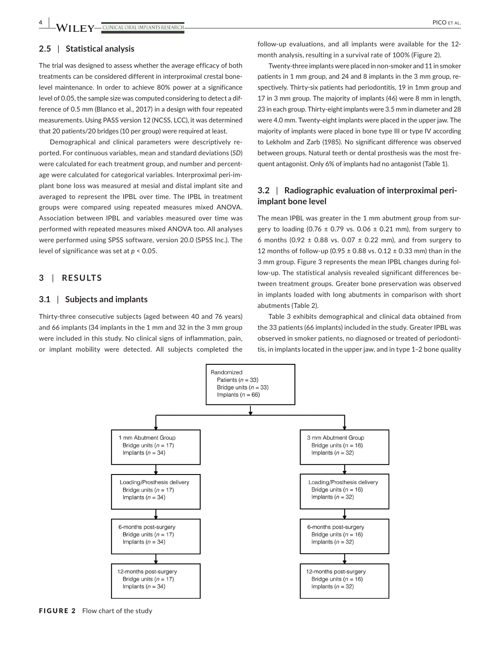## **2.5** | **Statistical analysis**

The trial was designed to assess whether the average efficacy of both treatments can be considered different in interproximal crestal bone‐ level maintenance. In order to achieve 80% power at a significance level of 0.05, the sample size was computed considering to detect a dif‐ ference of 0.5 mm (Blanco et al., 2017) in a design with four repeated measurements. Using PASS version 12 (NCSS, LCC), it was determined that 20 patients/20 bridges (10 per group) were required at least.

Demographical and clinical parameters were descriptively re‐ ported. For continuous variables, mean and standard deviations (*SD*) were calculated for each treatment group, and number and percentage were calculated for categorical variables. Interproximal peri-implant bone loss was measured at mesial and distal implant site and averaged to represent the IPBL over time. The IPBL in treatment groups were compared using repeated measures mixed ANOVA. Association between IPBL and variables measured over time was performed with repeated measures mixed ANOVA too. All analyses were performed using SPSS software, version 20.0 (SPSS Inc.). The level of significance was set at *p* < 0.05.

# **3** | **RESULTS**

## **3.1** | **Subjects and implants**

Thirty-three consecutive subjects (aged between 40 and 76 years) and 66 implants (34 implants in the 1 mm and 32 in the 3 mm group were included in this study. No clinical signs of inflammation, pain, or implant mobility were detected. All subjects completed the

Twenty‐three implants were placed in non‐smoker and 11 in smoker patients in 1 mm group, and 24 and 8 implants in the 3 mm group, re‐ spectively. Thirty-six patients had periodontitis, 19 in 1mm group and 17 in 3 mm group. The majority of implants (46) were 8 mm in length, 23 in each group. Thirty-eight implants were 3.5 mm in diameter and 28 were 4.0 mm. Twenty-eight implants were placed in the upper jaw. The majority of implants were placed in bone type III or type IV according to Lekholm and Zarb (1985). No significant difference was observed between groups. Natural teeth or dental prosthesis was the most fre‐ quent antagonist. Only 6% of implants had no antagonist (Table 1).

## **3.2** | **Radiographic evaluation of interproximal peri‐ implant bone level**

The mean IPBL was greater in the 1 mm abutment group from sur‐ gery to loading (0.76  $\pm$  0.79 vs. 0.06  $\pm$  0.21 mm), from surgery to 6 months (0.92  $\pm$  0.88 vs. 0.07  $\pm$  0.22 mm), and from surgery to 12 months of follow-up (0.95  $\pm$  0.88 vs. 0.12  $\pm$  0.33 mm) than in the 3 mm group. Figure 3 represents the mean IPBL changes during fol‐ low‐up. The statistical analysis revealed significant differences be‐ tween treatment groups. Greater bone preservation was observed in implants loaded with long abutments in comparison with short abutments (Table 2).

Table 3 exhibits demographical and clinical data obtained from the 33 patients (66 implants) included in the study. Greater IPBL was observed in smoker patients, no diagnosed or treated of periodonti‐ tis, in implants located in the upper jaw, and in type 1–2 bone quality



FIGURE 2 Flow chart of the study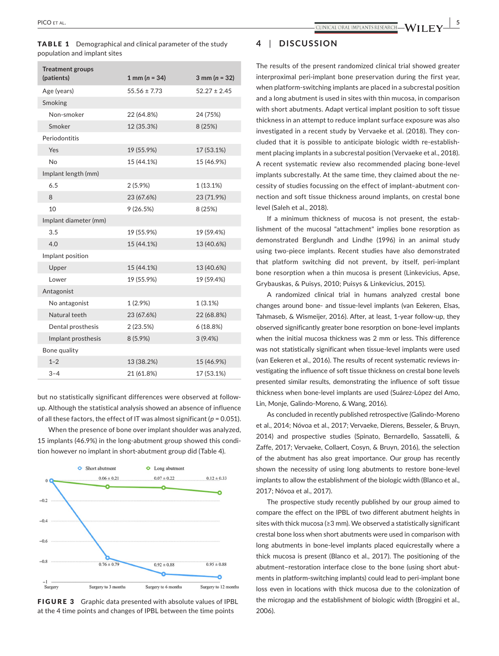population and implant sites

| <b>Treatment groups</b><br>(patients) | 1 mm ( $n = 34$ ) | $3$ mm ( $n = 32$ ) |
|---------------------------------------|-------------------|---------------------|
|                                       |                   |                     |
| Age (years)                           | $55.56 \pm 7.73$  | $52.27 \pm 2.45$    |
| Smoking                               |                   |                     |
| Non-smoker                            | 22 (64.8%)        | 24 (75%)            |
| Smoker                                | 12 (35.3%)        | 8 (25%)             |
| Periodontitis                         |                   |                     |
| Yes                                   | 19 (55.9%)        | 17 (53.1%)          |
| <b>No</b>                             | 15 (44.1%)        | 15 (46.9%)          |
| Implant length (mm)                   |                   |                     |
| 6.5                                   | $2(5.9\%)$        | 1(13.1%)            |
| 8                                     | 23 (67.6%)        | 23 (71.9%)          |
| 10                                    | 9(26.5%)          | 8 (25%)             |
| Implant diameter (mm)                 |                   |                     |
| 3.5                                   | 19 (55.9%)        | 19 (59.4%)          |
| 4.0                                   | 15 (44.1%)        | 13 (40.6%)          |
| Implant position                      |                   |                     |
| Upper                                 | 15 (44.1%)        | 13 (40.6%)          |
| Lower                                 | 19 (55.9%)        | 19 (59.4%)          |
| Antagonist                            |                   |                     |
| No antagonist                         | 1 (2.9%)          | 1(3.1%)             |
| Natural teeth                         | 23 (67.6%)        | 22 (68.8%)          |
| Dental prosthesis                     | 2(23.5%)          | 6(18.8%)            |
| Implant prosthesis                    | $8(5.9\%)$        | 3(9.4%)             |
| Bone quality                          |                   |                     |
| $1 - 2$                               | 13 (38.2%)        | 15 (46.9%)          |
| $3 - 4$                               | 21 (61.8%)        | 17 (53.1%)          |

TABLE 1 Demographical and clinical parameter of the study

but no statistically significant differences were observed at followup. Although the statistical analysis showed an absence of influence of all these factors, the effect of IT was almost significant ( $p = 0.051$ ).

When the presence of bone over implant shoulder was analyzed, 15 implants (46.9%) in the long‐abutment group showed this condi‐ tion however no implant in short‐abutment group did (Table 4).



FIGURE 3 Graphic data presented with absolute values of IPBL at the 4 time points and changes of IPBL between the time points

## **4** | **DISCUSSION**

The results of the present randomized clinical trial showed greater interproximal peri-implant bone preservation during the first year, when platform-switching implants are placed in a subcrestal position and a long abutment is used in sites with thin mucosa, in comparison with short abutments. Adapt vertical implant position to soft tissue thickness in an attempt to reduce implant surface exposure was also investigated in a recent study by Vervaeke et al. (2018). They concluded that it is possible to anticipate biologic width re‐establish‐ ment placing implants in a subcrestal position (Vervaeke et al., 2018). A recent systematic review also recommended placing bone‐level implants subcrestally. At the same time, they claimed about the necessity of studies focussing on the effect of implant–abutment con‐ nection and soft tissue thickness around implants, on crestal bone level (Saleh et al., 2018).

If a minimum thickness of mucosa is not present, the establishment of the mucosal "attachment" implies bone resorption as demonstrated Berglundh and Lindhe (1996) in an animal study using two‐piece implants. Recent studies have also demonstrated that platform switching did not prevent, by itself, peri‐implant bone resorption when a thin mucosa is present (Linkevicius, Apse, Grybauskas, & Puisys, 2010; Puisys & Linkevicius, 2015).

A randomized clinical trial in humans analyzed crestal bone changes around bone‐ and tissue‐level implants (van Eekeren, Elsas, Tahmaseb, & Wismeijer, 2016). After, at least, 1‐year follow‐up, they observed significantly greater bone resorption on bone‐level implants when the initial mucosa thickness was 2 mm or less. This difference was not statistically significant when tissue‐level implants were used (van Eekeren et al., 2016). The results of recent systematic reviews in‐ vestigating the influence of soft tissue thickness on crestal bone levels presented similar results, demonstrating the influence of soft tissue thickness when bone‐level implants are used (Suárez‐López del Amo, Lin, Monje, Galindo‐Moreno, & Wang, 2016).

As concluded in recently published retrospective (Galindo‐Moreno et al., 2014; Nóvoa et al., 2017; Vervaeke, Dierens, Besseler, & Bruyn, 2014) and prospective studies (Spinato, Bernardello, Sassatelli, & Zaffe, 2017; Vervaeke, Collaert, Cosyn, & Bruyn, 2016), the selection of the abutment has also great importance. Our group has recently shown the necessity of using long abutments to restore bone‐level implants to allow the establishment of the biologic width (Blanco et al., 2017; Nóvoa et al., 2017).

The prospective study recently published by our group aimed to compare the effect on the IPBL of two different abutment heights in sites with thick mucosa (≥3 mm). We observed a statistically significant crestal bone loss when short abutments were used in comparison with long abutments in bone‐level implants placed equicrestally where a thick mucosa is present (Blanco et al., 2017). The positioning of the abutment–restoration interface close to the bone (using short abut‐ ments in platform‐switching implants) could lead to peri‐implant bone loss even in locations with thick mucosa due to the colonization of the microgap and the establishment of biologic width (Broggini et al., 2006).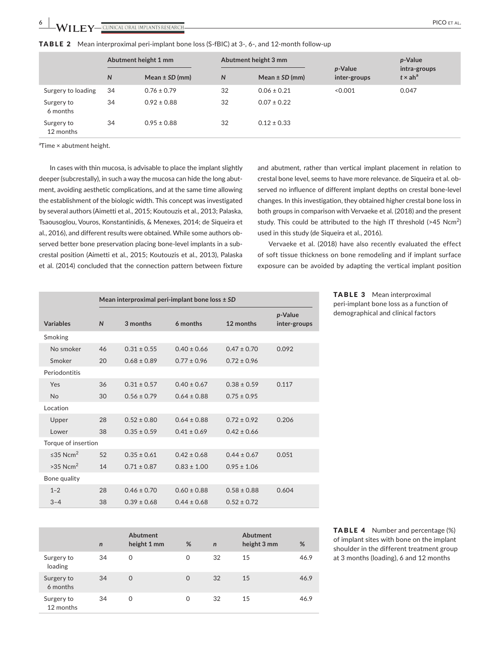## TABLE 2 Mean interproximal peri-implant bone loss (S-fBIC) at 3-, 6-, and 12-month follow-up

| Abutment height 1 mm    |    |                    |              | Abutment height 3 mm | p-Value      | p-Value<br>intra-groups |
|-------------------------|----|--------------------|--------------|----------------------|--------------|-------------------------|
|                         | N  | Mean $\pm$ SD (mm) | $\mathsf{N}$ | Mean $\pm$ SD (mm)   | inter-groups | $t \times ah^a$         |
| Surgery to loading      | 34 | $0.76 \pm 0.79$    | 32           | $0.06 \pm 0.21$      | < 0.001      | 0.047                   |
| Surgery to<br>6 months  | 34 | $0.92 \pm 0.88$    | 32           | $0.07 \pm 0.22$      |              |                         |
| Surgery to<br>12 months | 34 | $0.95 \pm 0.88$    | 32           | $0.12 \pm 0.33$      |              |                         |

a Time × abutment height.

In cases with thin mucosa, is advisable to place the implant slightly deeper (subcrestally), in such a way the mucosa can hide the long abut‐ ment, avoiding aesthetic complications, and at the same time allowing the establishment of the biologic width. This concept was investigated by several authors (Aimetti et al., 2015; Koutouzis et al., 2013; Palaska, Tsaousoglou, Vouros, Konstantinidis, & Menexes, 2014; de Siqueira et al., 2016), and different results were obtained. While some authors ob‐ served better bone preservation placing bone‐level implants in a sub‐ crestal position (Aimetti et al., 2015; Koutouzis et al., 2013), Palaska et al. (2014) concluded that the connection pattern between fixture

and abutment, rather than vertical implant placement in relation to crestal bone level, seems to have more relevance. de Siqueira et al. ob‐ served no influence of different implant depths on crestal bone‐level changes. In this investigation, they obtained higher crestal bone loss in both groups in comparison with Vervaeke et al. (2018) and the present study. This could be attributed to the high IT threshold (>45  $Ncm<sup>2</sup>$ ) used in this study (de Siqueira et al., 2016).

Vervaeke et al. (2018) have also recently evaluated the effect of soft tissue thickness on bone remodeling and if implant surface exposure can be avoided by adapting the vertical implant position

> TABLE 3 Mean interproximal peri‐implant bone loss as a function of demographical and clinical factors

|                            |              | Mean interproximal peri-implant bone loss $\pm$ SD |                 |                 |                                 |  |
|----------------------------|--------------|----------------------------------------------------|-----------------|-----------------|---------------------------------|--|
| <b>Variables</b>           | $\mathsf{N}$ | 3 months                                           | 6 months        | 12 months       | <i>p</i> -Value<br>inter-groups |  |
| Smoking                    |              |                                                    |                 |                 |                                 |  |
| No smoker                  | 46           | $0.31 \pm 0.55$                                    | $0.40 \pm 0.66$ | $0.47 \pm 0.70$ | 0.092                           |  |
| Smoker                     | 20           | $0.68 \pm 0.89$                                    | $0.77 \pm 0.96$ | $0.72 \pm 0.96$ |                                 |  |
| Periodontitis              |              |                                                    |                 |                 |                                 |  |
| Yes                        | 36           | $0.31 \pm 0.57$                                    | $0.40 \pm 0.67$ | $0.38 \pm 0.59$ | 0.117                           |  |
| <b>No</b>                  | 30           | $0.56 \pm 0.79$                                    | $0.64 \pm 0.88$ | $0.75 \pm 0.95$ |                                 |  |
| Location                   |              |                                                    |                 |                 |                                 |  |
| Upper                      | 28           | $0.52 \pm 0.80$                                    | $0.64 \pm 0.88$ | $0.72 \pm 0.92$ | 0.206                           |  |
| <b>Lower</b>               | 38           | $0.35 \pm 0.59$                                    | $0.41 \pm 0.69$ | $0.42 \pm 0.66$ |                                 |  |
| Torque of insertion        |              |                                                    |                 |                 |                                 |  |
| $\leq$ 35 Ncm <sup>2</sup> | 52           | $0.35 \pm 0.61$                                    | $0.42 \pm 0.68$ | $0.44 \pm 0.67$ | 0.051                           |  |
| $>35$ Ncm <sup>2</sup>     | 14           | $0.71 \pm 0.87$                                    | $0.83 \pm 1.00$ | $0.95 \pm 1.06$ |                                 |  |
| Bone quality               |              |                                                    |                 |                 |                                 |  |
| $1 - 2$                    | 28           | $0.46 \pm 0.70$                                    | $0.60 \pm 0.88$ | $0.58 \pm 0.88$ | 0.604                           |  |
| $3 - 4$                    | 38           | $0.39 \pm 0.68$                                    | $0.44 \pm 0.68$ | $0.52 \pm 0.72$ |                                 |  |

|                         | $\mathsf{n}$ | Abutment<br>height 1 mm | %        | $\mathsf{n}$ | Abutment<br>height 3 mm | %    |
|-------------------------|--------------|-------------------------|----------|--------------|-------------------------|------|
| Surgery to<br>loading   | 34           | 0                       | 0        | 32           | 15                      | 46.9 |
| Surgery to<br>6 months  | 34           | $\Omega$                | $\Omega$ | 32           | 15                      | 46.9 |
| Surgery to<br>12 months | 34           | 0                       | 0        | 32           | 15                      | 46.9 |

TABLE 4 Number and percentage (%) of implant sites with bone on the implant shoulder in the different treatment group at 3 months (loading), 6 and 12 months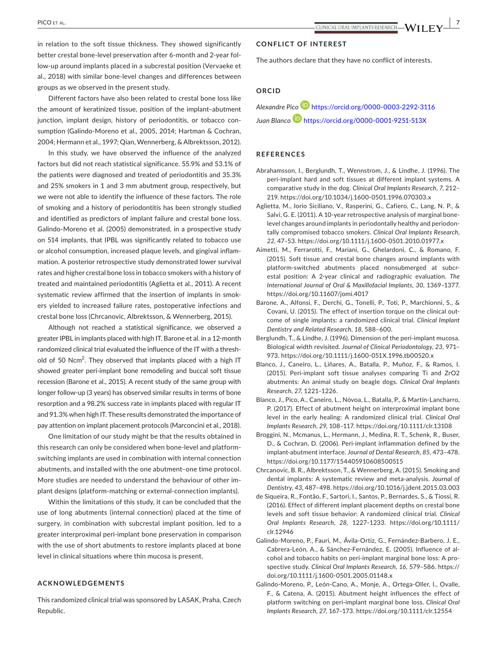in relation to the soft tissue thickness. They showed significantly better crestal bone‐level preservation after 6‐month and 2‐year fol‐ low‐up around implants placed in a subcrestal position (Vervaeke et al., 2018) with similar bone‐level changes and differences between groups as we observed in the present study.

Different factors have also been related to crestal bone loss like the amount of keratinized tissue, position of the implant–abutment junction, implant design, history of periodontitis, or tobacco consumption (Galindo‐Moreno et al., 2005, 2014; Hartman & Cochran, 2004; Hermann et al., 1997; Qian, Wennerberg, & Albrektsson, 2012).

In this study, we have observed the influence of the analyzed factors but did not reach statistical significance. 55.9% and 53.1% of the patients were diagnosed and treated of periodontitis and 35.3% and 25% smokers in 1 and 3 mm abutment group, respectively, but we were not able to identify the influence of these factors. The role of smoking and a history of periodontitis has been strongly studied and identified as predictors of implant failure and crestal bone loss. Galindo‐Moreno et al. (2005) demonstrated, in a prospective study on 514 implants, that IPBL was significantly related to tobacco use or alcohol consumption, increased plaque levels, and gingival inflam‐ mation. A posterior retrospective study demonstrated lower survival rates and higher crestal bone loss in tobacco smokers with a history of treated and maintained periodontitis (Aglietta et al., 2011). A recent systematic review affirmed that the insertion of implants in smok‐ ers yielded to increased failure rates, postoperative infections and crestal bone loss (Chrcanovic, Albrektsson, & Wennerberg, 2015).

Although not reached a statistical significance, we observed a greater IPBL in implants placed with high IT. Barone et al. in a 12‐month randomized clinical trial evaluated the influence of the IT with a thresh‐ old of 50 Ncm<sup>2</sup>. They observed that implants placed with a high IT showed greater peri‐implant bone remodeling and buccal soft tissue recession (Barone et al., 2015). A recent study of the same group with longer follow‐up (3 years) has observed similar results in terms of bone resorption and a 98.2% success rate in implants placed with regular IT and 91.3% when high IT. These results demonstrated the importance of pay attention on implant placement protocols (Marconcini et al., 2018).

One limitation of our study might be that the results obtained in this research can only be considered when bone‐level and platform‐ switching implants are used in combination with internal connection abutments, and installed with the one abutment–one time protocol. More studies are needed to understand the behaviour of other im‐ plant designs (platform‐matching or external‐connection implants).

Within the limitations of this study, it can be concluded that the use of long abutments (internal connection) placed at the time of surgery, in combination with subcrestal implant position, led to a greater interproximal peri‐implant bone preservation in comparison with the use of short abutments to restore implants placed at bone level in clinical situations where thin mucosa is present.

## **ACKNOWLEDGEMENTS**

This randomized clinical trial was sponsored by LASAK, Praha, Czech Republic.

#### **CONFLICT OF INTEREST**

The authors declare that they have no conflict of interests.

## **ORCID**

*Alexandre Pic[o](https://orcid.org/0000-0003-2292-3116)* <https://orcid.org/0000-0003-2292-3116> *Juan Blanc[o](https://orcid.org/0000-0001-9251-513X)* <https://orcid.org/0000-0001-9251-513X>

#### **REFERENCES**

- Abrahamsson, I., Berglundh, T., Wennstrom, J., & Lindhe, J. (1996). The peri‐implant hard and soft tissues at different implant systems. A comparative study in the dog. *Clinical Oral Implants Research*, *7*, 212– 219. <https://doi.org/10.1034/j.1600-0501.1996.070303.x>
- Aglietta, M., Iorio Siciliano, V., Rasperini, G., Cafiero, C., Lang, N. P., & Salvi, G. E. (2011). A 10‐year retrospective analysis of marginal bone‐ level changes around implants in periodontally healthy and periodon‐ tally compromised tobacco smokers. *Clinical Oral Implants Research*, *22*, 47–53. <https://doi.org/10.1111/j.1600-0501.2010.01977.x>
- Aimetti, M., Ferrarotti, F., Mariani, G., Ghelardoni, C., & Romano, F. (2015). Soft tissue and crestal bone changes around implants with platform-switched abutments placed nonsubmerged at subcrestal position: A 2‐year clinical and radiographic evaluation. *The International Journal of Oral & Maxillofacial Implants*, *30*, 1369–1377. <https://doi.org/10.11607/jomi.4017>
- Barone, A., Alfonsi, F., Derchi, G., Tonelli, P., Toti, P., Marchionni, S., & Covani, U. (2015). The effect of insertion torque on the clinical out‐ come of single implants: a randomized clinical trial. *Clinical Implant Dentistry and Related Research*, *18*, 588–600.
- Berglundh, T., & Lindhe, J. (1996). Dimension of the peri-implant mucosa. Biological width revisited. *Journal of Clinical Periodontology*, *23*, 971– 973. <https://doi.org/10.1111/j.1600-051X.1996.tb00520.x>
- Blanco, J., Caneiro, L., Liñares, A., Batalla, P., Muñoz, F., & Ramos, I. (2015). Peri‐implant soft tissue analyses comparing Ti and ZrO2 abutments: An animal study on beagle dogs. *Clinical Oral Implants Research*, *27*, 1221–1226.
- Blanco, J., Pico, A., Caneiro, L., Nóvoa, L., Batalla, P., & Martín‐Lancharro, P. (2017). Effect of abutment height on interproximal implant bone level in the early healing: A randomized clinical trial. *Clinical Oral Implants Research*, *29*, 108–117.<https://doi.org/10.1111/clr.13108>
- Broggini, N., Mcmanus, L., Hermann, J., Medina, R. T., Schenk, R., Buser, D., & Cochran, D. (2006). Peri‐implant inflammation defined by the implant‐abutment interface. *Journal of Dental Research*, *85*, 473–478. <https://doi.org/10.1177/154405910608500515>
- Chrcanovic, B. R., Albrektsson, T., & Wennerberg, A. (2015). Smoking and dental implants: A systematic review and meta‐analysis. *Journal of Dentistry*, *43*, 487–498.<https://doi.org/10.1016/j.jdent.2015.03.003>
- de Siqueira, R., Fontão, F., Sartori, I., Santos, P., Bernardes, S., & Tiossi, R. (2016). Effect of different implant placement depths on crestal bone levels and soft tissue behavior: A randomized clinical trial. *Clinical Oral Implants Research*, *28*, 1227–1233. [https://doi.org/10.1111/](https://doi.org/10.1111/clr.12946) [clr.12946](https://doi.org/10.1111/clr.12946)
- Galindo‐Moreno, P., Fauri, M., Ávila‐Ortiz, G., Fernández‐Barbero, J. E., Cabrera‐León, A., & Sánchez‐Fernández, E. (2005). Influence of al‐ cohol and tobacco habits on peri-implant marginal bone loss: A prospective study. *Clinical Oral Implants Research*, *16*, 579–586. [https://](https://doi.org/10.1111/j.1600-0501.2005.01148.x) [doi.org/10.1111/j.1600-0501.2005.01148.x](https://doi.org/10.1111/j.1600-0501.2005.01148.x)
- Galindo‐Moreno, P., León‐Cano, A., Monje, A., Ortega‐Oller, I., Ovalle, F., & Catena, A. (2015). Abutment height influences the effect of platform switching on peri‐implant marginal bone loss. *Clinical Oral Implants Research*, *27*, 167–173.<https://doi.org/10.1111/clr.12554>